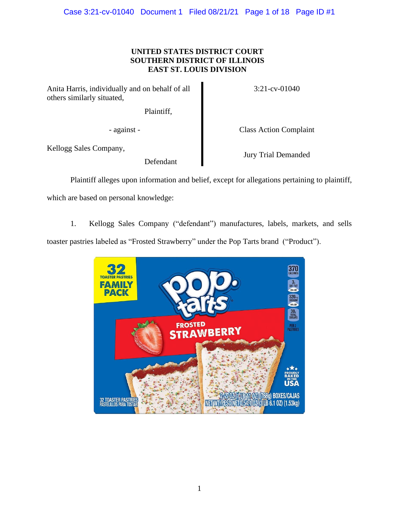# **UNITED STATES DISTRICT COURT SOUTHERN DISTRICT OF ILLINOIS EAST ST. LOUIS DIVISION**

Anita Harris, individually and on behalf of all others similarly situated,

Plaintiff,

- against - Class Action Complaint

3:21-cv-01040

Kellogg Sales Company,

Defendant

Jury Trial Demanded

Plaintiff alleges upon information and belief, except for allegations pertaining to plaintiff,

which are based on personal knowledge:

1. Kellogg Sales Company ("defendant") manufactures, labels, markets, and sells toaster pastries labeled as "Frosted Strawberry" under the Pop Tarts brand ("Product").

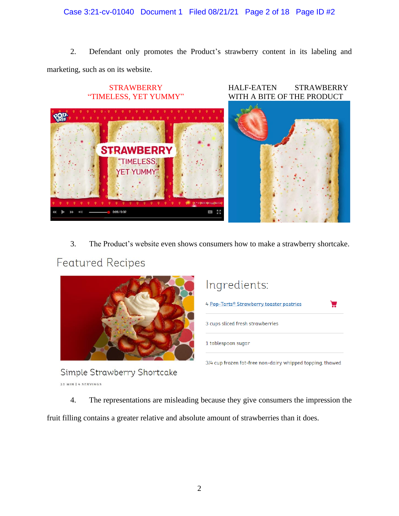# Case 3:21-cv-01040 Document 1 Filed 08/21/21 Page 2 of 18 Page ID #2

2. Defendant only promotes the Product's strawberry content in its labeling and marketing, such as on its website.



3. The Product's website even shows consumers how to make a strawberry shortcake.

# **Featured Recipes**



Ingredients:

| 4 Pop-Tarts® Strawberry toaster pastries                  |
|-----------------------------------------------------------|
| 3 cups sliced fresh strawberries                          |
| 1 tablespoon sugar                                        |
| 3/4 cup frozen fat-free non-dairy whipped topping, thawed |

Simple Strawberry Shortcake 10 MIN | 4 SERVINGS

4. The representations are misleading because they give consumers the impression the

fruit filling contains a greater relative and absolute amount of strawberries than it does.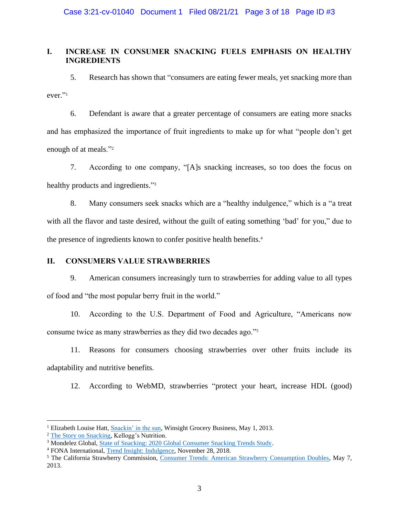# **I. INCREASE IN CONSUMER SNACKING FUELS EMPHASIS ON HEALTHY INGREDIENTS**

5. Research has shown that "consumers are eating fewer meals, yet snacking more than ever." 1

6. Defendant is aware that a greater percentage of consumers are eating more snacks and has emphasized the importance of fruit ingredients to make up for what "people don't get enough of at meals."<sup>2</sup>

7. According to one company, "[A]s snacking increases, so too does the focus on healthy products and ingredients."<sup>3</sup>

8. Many consumers seek snacks which are a "healthy indulgence," which is a "a treat with all the flavor and taste desired, without the guilt of eating something 'bad' for you," due to the presence of ingredients known to confer positive health benefits.<sup>4</sup>

## **II. CONSUMERS VALUE STRAWBERRIES**

9. American consumers increasingly turn to strawberries for adding value to all types of food and "the most popular berry fruit in the world."

10. According to the U.S. Department of Food and Agriculture, "Americans now consume twice as many strawberries as they did two decades ago."<sup>5</sup>

11. Reasons for consumers choosing strawberries over other fruits include its adaptability and nutritive benefits.

12. According to WebMD, strawberries "protect your heart, increase HDL (good)

<sup>1</sup> Elizabeth Louise Hatt, [Snackin' in the sun,](https://www.winsightgrocerybusiness.com/snackin-sun) Winsight Grocery Business, May 1, 2013.

<sup>&</sup>lt;sup>2</sup> [The Story on Snacking,](https://www.global.kelloggsnutrition.com/content/dam/kelloggsnutrition/resources/professional-resources/The_Story_on_Snacking_Nutrition_Influencer_Compendium.pdf) Kellogg's Nutrition.

<sup>&</sup>lt;sup>3</sup> Mondelez Global[, State of Snacking: 2020 Global Consumer Snacking Trends Study.](https://www.mondelezinternational.com/-/media/Mondelez/stateofsnacking/2020-Report/2020_MDLZ_stateofsnacking_report_GLOBAL_EN.pdf)

<sup>4</sup> FONA International[, Trend Insight: Indulgence,](https://www.fona.com/indulgence_1218/) November 28, 2018.

<sup>5</sup> The California Strawberry Commission, [Consumer Trends: American Strawberry Consumption Doubles,](https://www.prnewswire.com/news-releases/american-strawberry-consumption-doubles-in-two-decades-205509201.html) May 7, 2013.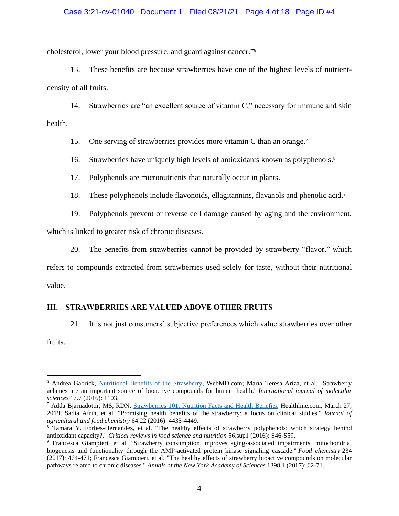## Case 3:21-cv-01040 Document 1 Filed 08/21/21 Page 4 of 18 Page ID #4

cholesterol, lower your blood pressure, and guard against cancer." 6

13. These benefits are because strawberries have one of the highest levels of nutrientdensity of all fruits.

14. Strawberries are "an excellent source of vitamin C," necessary for immune and skin health.

15. One serving of strawberries provides more vitamin C than an orange.<sup>7</sup>

16. Strawberries have uniquely high levels of antioxidants known as polyphenols. 8

17. Polyphenols are micronutrients that naturally occur in plants.

18. These polyphenols include flavonoids, ellagitannins, flavanols and phenolic acid.<sup>9</sup>

19. Polyphenols prevent or reverse cell damage caused by aging and the environment,

which is linked to greater risk of chronic diseases.

20. The benefits from strawberries cannot be provided by strawberry "flavor," which

refers to compounds extracted from strawberries used solely for taste, without their nutritional value.

## **III. STRAWBERRIES ARE VALUED ABOVE OTHER FRUITS**

21. It is not just consumers' subjective preferences which value strawberries over other

fruits.

<sup>6</sup> Andrea Gabrick, [Nutritional Benefits of the Strawberry,](https://www.webmd.com/diet/features/nutritional-benefits-of-the-strawberry) WebMD.com; María Teresa Ariza, et al. "Strawberry achenes are an important source of bioactive compounds for human health." *International journal of molecular sciences* 17.7 (2016): 1103.

<sup>7</sup> Adda Bjarnadottir, MS, RDN, [Strawberries 101: Nutrition Facts and Health Benefits,](https://www.healthline.com/nutrition/foods/strawberries) Healthline.com, March 27, 2019; Sadia Afrin, et al. "Promising health benefits of the strawberry: a focus on clinical studies." *Journal of agricultural and food chemistry* 64.22 (2016): 4435-4449.

<sup>8</sup> Tamara Y. Forbes-Hernandez, et al. "The healthy effects of strawberry polyphenols: which strategy behind antioxidant capacity?." *Critical reviews in food science and nutrition* 56.sup1 (2016): S46-S59.

<sup>9</sup> Francesca Giampieri, et al. "Strawberry consumption improves aging-associated impairments, mitochondrial biogenesis and functionality through the AMP-activated protein kinase signaling cascade." *Food chemistry* 234 (2017): 464-471; Francesca Giampieri, et al. "The healthy effects of strawberry bioactive compounds on molecular pathways related to chronic diseases." *Annals of the New York Academy of Sciences* 1398.1 (2017): 62-71.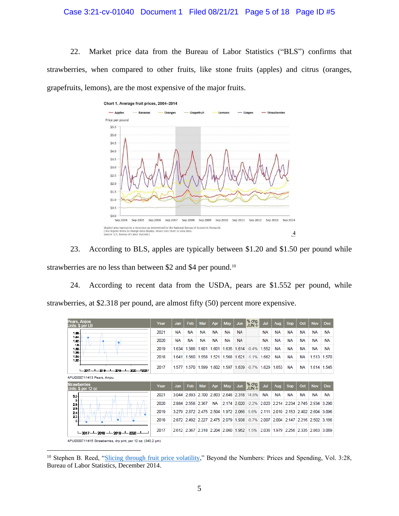#### Case 3:21-cv-01040 Document 1 Filed 08/21/21 Page 5 of 18 Page ID #5

22. Market price data from the Bureau of Labor Statistics ("BLS") confirms that strawberries, when compared to other fruits, like stone fruits (apples) and citrus (oranges, grapefruits, lemons), are the most expensive of the major fruits.



23. According to BLS, apples are typically between \$1.20 and \$1.50 per pound while strawberries are no less than between \$2 and \$4 per pound.<sup>10</sup>

24. According to recent data from the USDA, pears are \$1.552 per pound, while strawberries, at \$2.318 per pound, are almost fifty (50) percent more expensive.



APU0000711415 Strawberries, dry pint, per 12 oz. (340.2 gm)

<sup>&</sup>lt;sup>10</sup> Stephen B. Reed, ["Slicing through fruit price volatility,](https://www.bls.gov/opub/btn/volume-3/slicing-through-fruit-price-volatility.htm)" Beyond the Numbers: Prices and Spending, Vol. 3:28, Bureau of Labor Statistics, December 2014.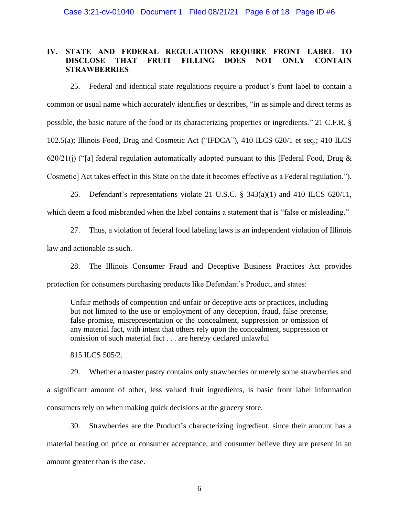# **IV. STATE AND FEDERAL REGULATIONS REQUIRE FRONT LABEL TO DISCLOSE THAT FRUIT FILLING DOES NOT ONLY CONTAIN STRAWBERRIES**

25. Federal and identical state regulations require a product's front label to contain a common or usual name which accurately identifies or describes, "in as simple and direct terms as possible, the basic nature of the food or its characterizing properties or ingredients." 21 C.F.R. § 102.5(a); Illinois Food, Drug and Cosmetic Act ("IFDCA"), 410 ILCS 620/1 et seq.; 410 ILCS 620/21(j) ("[a] federal regulation automatically adopted pursuant to this [Federal Food, Drug  $\&$ Cosmetic] Act takes effect in this State on the date it becomes effective as a Federal regulation.").

26. Defendant's representations violate 21 U.S.C. § 343(a)(1) and 410 ILCS 620/11,

which deem a food misbranded when the label contains a statement that is "false or misleading."

27. Thus, a violation of federal food labeling laws is an independent violation of Illinois law and actionable as such.

28. The Illinois Consumer Fraud and Deceptive Business Practices Act provides protection for consumers purchasing products like Defendant's Product, and states:

Unfair methods of competition and unfair or deceptive acts or practices, including but not limited to the use or employment of any deception, fraud, false pretense, false promise, misrepresentation or the concealment, suppression or omission of any material fact, with intent that others rely upon the concealment, suppression or omission of such material fact . . . are hereby declared unlawful

815 ILCS 505/2.

29. Whether a toaster pastry contains only strawberries or merely some strawberries and a significant amount of other, less valued fruit ingredients, is basic front label information consumers rely on when making quick decisions at the grocery store.

30. Strawberries are the Product's characterizing ingredient, since their amount has a material bearing on price or consumer acceptance, and consumer believe they are present in an amount greater than is the case.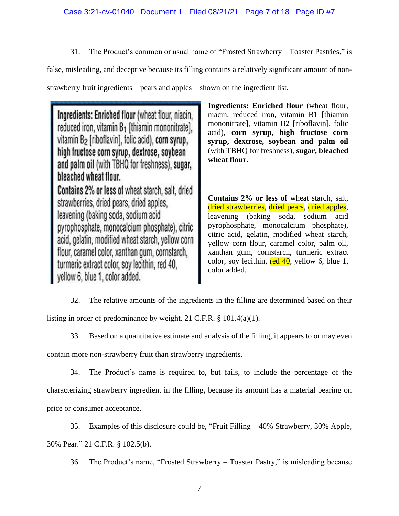31. The Product's common or usual name of "Frosted Strawberry – Toaster Pastries," is

false, misleading, and deceptive because its filling contains a relatively significant amount of non-

strawberry fruit ingredients – pears and apples – shown on the ingredient list.

Ingredients: Enriched flour (wheat flour, niacin, reduced iron, vitamin B<sub>1</sub> [thiamin mononitrate], vitamin B<sub>2</sub> [riboflavin], folic acid), corn syrup, high fructose corn syrup, dextrose, soybean and palm oil (with TBHQ for freshness), sugar, bleached wheat flour. Contains 2% or less of wheat starch, salt, dried strawberries, dried pears, dried apples, leavening (baking soda, sodium acid pyrophosphate, monocalcium phosphate), citric acid, gelatin, modified wheat starch, yellow corn flour, caramel color, xanthan gum, cornstarch, turmeric extract color, soy lecithin, red 40, vellow 6, blue 1, color added.

**Ingredients: Enriched flour** (wheat flour, niacin, reduced iron, vitamin B1 [thiamin mononitrate], vitamin B2 [riboflavin], folic acid), **corn syrup**, **high fructose corn syrup, dextrose, soybean and palm oil** (with TBHQ for freshness), **sugar, bleached wheat flour**.

**Contains 2% or less of** wheat starch, salt, dried strawberries, dried pears, dried apples, leavening (baking soda, sodium acid pyrophosphate, monocalcium phosphate), citric acid, gelatin, modified wheat starch, yellow corn flour, caramel color, palm oil, xanthan gum, cornstarch, turmeric extract color, soy lecithin,  $\text{red } 40$ , yellow 6, blue 1, color added.

32. The relative amounts of the ingredients in the filling are determined based on their listing in order of predominance by weight. 21 C.F.R. § 101.4(a)(1).

33. Based on a quantitative estimate and analysis of the filling, it appears to or may even

contain more non-strawberry fruit than strawberry ingredients.

34. The Product's name is required to, but fails, to include the percentage of the characterizing strawberry ingredient in the filling, because its amount has a material bearing on price or consumer acceptance.

35. Examples of this disclosure could be, "Fruit Filling – 40% Strawberry, 30% Apple, 30% Pear." 21 C.F.R. § 102.5(b).

36. The Product's name, "Frosted Strawberry – Toaster Pastry," is misleading because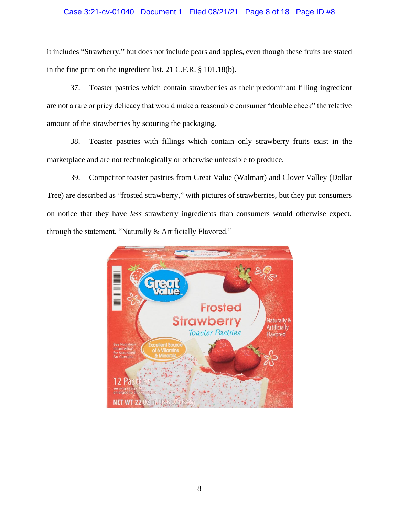## Case 3:21-cv-01040 Document 1 Filed 08/21/21 Page 8 of 18 Page ID #8

it includes "Strawberry," but does not include pears and apples, even though these fruits are stated in the fine print on the ingredient list. 21 C.F.R. § 101.18(b).

37. Toaster pastries which contain strawberries as their predominant filling ingredient are not a rare or pricy delicacy that would make a reasonable consumer "double check" the relative amount of the strawberries by scouring the packaging.

38. Toaster pastries with fillings which contain only strawberry fruits exist in the marketplace and are not technologically or otherwise unfeasible to produce.

39. Competitor toaster pastries from Great Value (Walmart) and Clover Valley (Dollar Tree) are described as "frosted strawberry," with pictures of strawberries, but they put consumers on notice that they have *less* strawberry ingredients than consumers would otherwise expect, through the statement, "Naturally & Artificially Flavored."

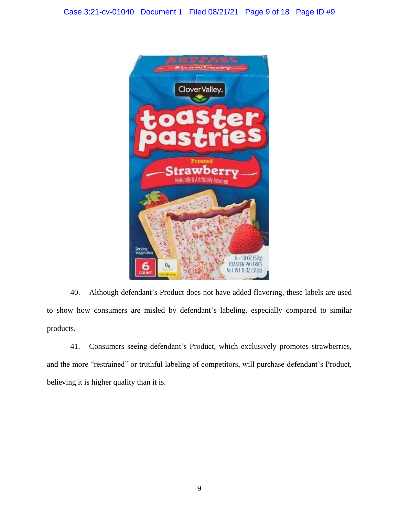

40. Although defendant's Product does not have added flavoring, these labels are used to show how consumers are misled by defendant's labeling, especially compared to similar products.

41. Consumers seeing defendant's Product, which exclusively promotes strawberries, and the more "restrained" or truthful labeling of competitors, will purchase defendant's Product, believing it is higher quality than it is.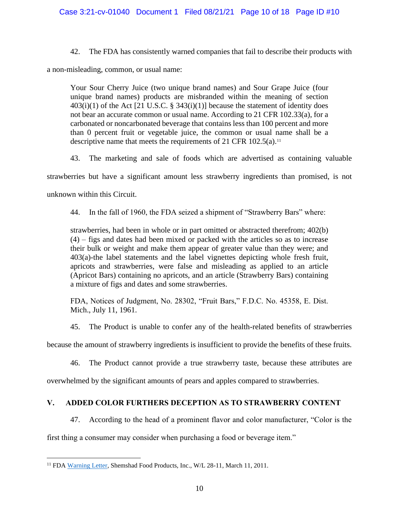42. The FDA has consistently warned companies that fail to describe their products with

a non-misleading, common, or usual name:

Your Sour Cherry Juice (two unique brand names) and Sour Grape Juice (four unique brand names) products are misbranded within the meaning of section  $403(i)(1)$  of the Act [21 U.S.C. § 343(i)(1)] because the statement of identity does not bear an accurate common or usual name. According to 21 CFR 102.33(a), for a carbonated or noncarbonated beverage that contains less than 100 percent and more than 0 percent fruit or vegetable juice, the common or usual name shall be a descriptive name that meets the requirements of 21 CFR  $102.5(a)$ .<sup>11</sup>

43. The marketing and sale of foods which are advertised as containing valuable strawberries but have a significant amount less strawberry ingredients than promised, is not

unknown within this Circuit.

44. In the fall of 1960, the FDA seized a shipment of "Strawberry Bars" where:

strawberries, had been in whole or in part omitted or abstracted therefrom; 402(b) (4) – figs and dates had been mixed or packed with the articles so as to increase their bulk or weight and make them appear of greater value than they were; and 403(a)-the label statements and the label vignettes depicting whole fresh fruit, apricots and strawberries, were false and misleading as applied to an article (Apricot Bars) containing no apricots, and an article (Strawberry Bars) containing a mixture of figs and dates and some strawberries.

FDA, Notices of Judgment, No. 28302, "Fruit Bars," F.D.C. No. 45358, E. Dist. Mich., July 11, 1961.

45. The Product is unable to confer any of the health-related benefits of strawberries

because the amount of strawberry ingredients is insufficient to provide the benefits of these fruits.

46. The Product cannot provide a true strawberry taste, because these attributes are

overwhelmed by the significant amounts of pears and apples compared to strawberries.

# **V. ADDED COLOR FURTHERS DECEPTION AS TO STRAWBERRY CONTENT**

47. According to the head of a prominent flavor and color manufacturer, "Color is the

first thing a consumer may consider when purchasing a food or beverage item."

<sup>&</sup>lt;sup>11</sup> FDA [Warning Letter,](http://fda-warning-letters.blogspot.com/2011/03/shemshad-food-products-inc-31111.html) Shemshad Food Products, Inc., W/L 28-11, March 11, 2011.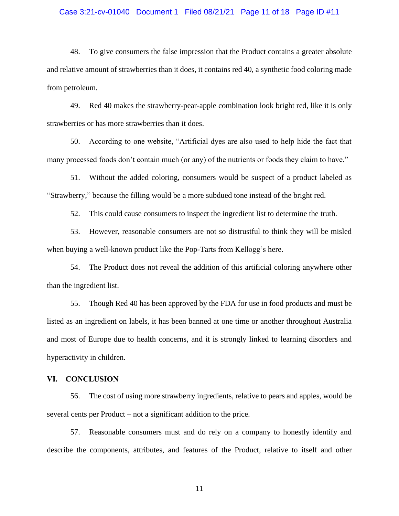#### Case 3:21-cv-01040 Document 1 Filed 08/21/21 Page 11 of 18 Page ID #11

48. To give consumers the false impression that the Product contains a greater absolute and relative amount of strawberries than it does, it contains red 40, a synthetic food coloring made from petroleum.

49. Red 40 makes the strawberry-pear-apple combination look bright red, like it is only strawberries or has more strawberries than it does.

50. According to one website, "Artificial dyes are also used to help hide the fact that many processed foods don't contain much (or any) of the nutrients or foods they claim to have."

51. Without the added coloring, consumers would be suspect of a product labeled as "Strawberry," because the filling would be a more subdued tone instead of the bright red.

52. This could cause consumers to inspect the ingredient list to determine the truth.

53. However, reasonable consumers are not so distrustful to think they will be misled when buying a well-known product like the Pop-Tarts from Kellogg's here.

54. The Product does not reveal the addition of this artificial coloring anywhere other than the ingredient list.

55. Though Red 40 has been approved by the FDA for use in food products and must be listed as an ingredient on labels, it has been banned at one time or another throughout Australia and most of Europe due to health concerns, and it is strongly linked to learning disorders and hyperactivity in children.

## **VI. CONCLUSION**

56. The cost of using more strawberry ingredients, relative to pears and apples, would be several cents per Product – not a significant addition to the price.

57. Reasonable consumers must and do rely on a company to honestly identify and describe the components, attributes, and features of the Product, relative to itself and other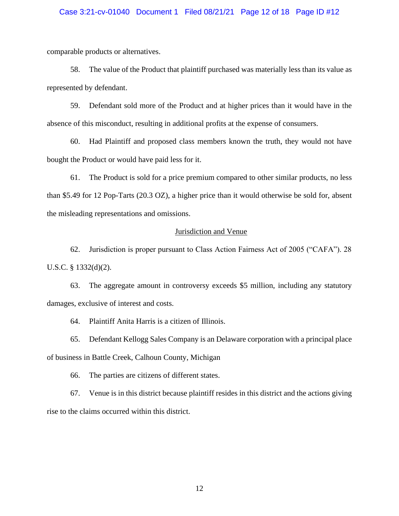#### Case 3:21-cv-01040 Document 1 Filed 08/21/21 Page 12 of 18 Page ID #12

comparable products or alternatives.

58. The value of the Product that plaintiff purchased was materially less than its value as represented by defendant.

59. Defendant sold more of the Product and at higher prices than it would have in the absence of this misconduct, resulting in additional profits at the expense of consumers.

60. Had Plaintiff and proposed class members known the truth, they would not have bought the Product or would have paid less for it.

61. The Product is sold for a price premium compared to other similar products, no less than \$5.49 for 12 Pop-Tarts (20.3 OZ), a higher price than it would otherwise be sold for, absent the misleading representations and omissions.

## Jurisdiction and Venue

62. Jurisdiction is proper pursuant to Class Action Fairness Act of 2005 ("CAFA"). 28 U.S.C. § 1332(d)(2).

63. The aggregate amount in controversy exceeds \$5 million, including any statutory damages, exclusive of interest and costs.

64. Plaintiff Anita Harris is a citizen of Illinois.

65. Defendant Kellogg Sales Company is an Delaware corporation with a principal place of business in Battle Creek, Calhoun County, Michigan

66. The parties are citizens of different states.

67. Venue is in this district because plaintiff resides in this district and the actions giving rise to the claims occurred within this district.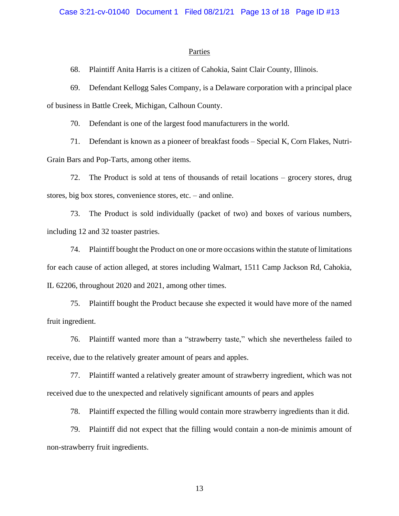#### **Parties**

68. Plaintiff Anita Harris is a citizen of Cahokia, Saint Clair County, Illinois.

69. Defendant Kellogg Sales Company, is a Delaware corporation with a principal place of business in Battle Creek, Michigan, Calhoun County.

70. Defendant is one of the largest food manufacturers in the world.

71. Defendant is known as a pioneer of breakfast foods – Special K, Corn Flakes, Nutri-Grain Bars and Pop-Tarts, among other items.

72. The Product is sold at tens of thousands of retail locations – grocery stores, drug stores, big box stores, convenience stores, etc. – and online.

73. The Product is sold individually (packet of two) and boxes of various numbers, including 12 and 32 toaster pastries.

74. Plaintiff bought the Product on one or more occasions within the statute of limitations for each cause of action alleged, at stores including Walmart, 1511 Camp Jackson Rd, Cahokia, IL 62206, throughout 2020 and 2021, among other times.

75. Plaintiff bought the Product because she expected it would have more of the named fruit ingredient.

76. Plaintiff wanted more than a "strawberry taste," which she nevertheless failed to receive, due to the relatively greater amount of pears and apples.

77. Plaintiff wanted a relatively greater amount of strawberry ingredient, which was not received due to the unexpected and relatively significant amounts of pears and apples

78. Plaintiff expected the filling would contain more strawberry ingredients than it did.

79. Plaintiff did not expect that the filling would contain a non-de minimis amount of non-strawberry fruit ingredients.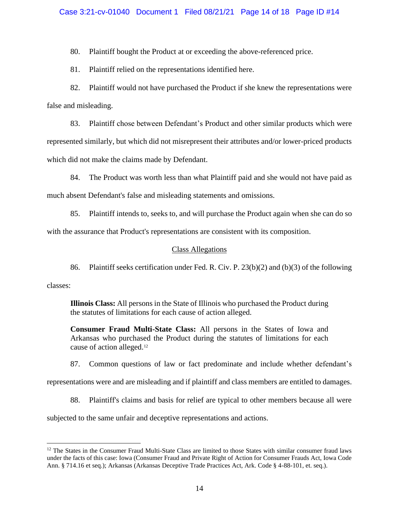## Case 3:21-cv-01040 Document 1 Filed 08/21/21 Page 14 of 18 Page ID #14

80. Plaintiff bought the Product at or exceeding the above-referenced price.

81. Plaintiff relied on the representations identified here.

82. Plaintiff would not have purchased the Product if she knew the representations were false and misleading.

83. Plaintiff chose between Defendant's Product and other similar products which were represented similarly, but which did not misrepresent their attributes and/or lower-priced products which did not make the claims made by Defendant.

84. The Product was worth less than what Plaintiff paid and she would not have paid as much absent Defendant's false and misleading statements and omissions.

85. Plaintiff intends to, seeks to, and will purchase the Product again when she can do so

with the assurance that Product's representations are consistent with its composition.

#### Class Allegations

86. Plaintiff seeks certification under Fed. R. Civ. P. 23(b)(2) and (b)(3) of the following

classes:

**Illinois Class:** All persons in the State of Illinois who purchased the Product during the statutes of limitations for each cause of action alleged.

**Consumer Fraud Multi-State Class:** All persons in the States of Iowa and Arkansas who purchased the Product during the statutes of limitations for each cause of action alleged.<sup>12</sup>

87. Common questions of law or fact predominate and include whether defendant's

representations were and are misleading and if plaintiff and class members are entitled to damages.

88. Plaintiff's claims and basis for relief are typical to other members because all were

subjected to the same unfair and deceptive representations and actions.

 $12$  The States in the Consumer Fraud Multi-State Class are limited to those States with similar consumer fraud laws under the facts of this case: Iowa (Consumer Fraud and Private Right of Action for Consumer Frauds Act, Iowa Code Ann. § 714.16 et seq.); Arkansas (Arkansas Deceptive Trade Practices Act, Ark. Code § 4-88-101, et. seq.).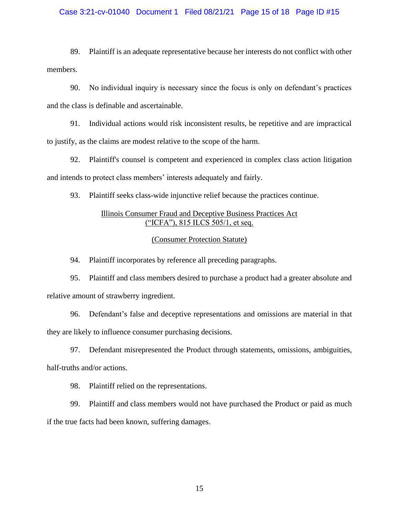## Case 3:21-cv-01040 Document 1 Filed 08/21/21 Page 15 of 18 Page ID #15

89. Plaintiff is an adequate representative because her interests do not conflict with other members.

90. No individual inquiry is necessary since the focus is only on defendant's practices and the class is definable and ascertainable.

91. Individual actions would risk inconsistent results, be repetitive and are impractical to justify, as the claims are modest relative to the scope of the harm.

92. Plaintiff's counsel is competent and experienced in complex class action litigation and intends to protect class members' interests adequately and fairly.

93. Plaintiff seeks class-wide injunctive relief because the practices continue.

# Illinois Consumer Fraud and Deceptive Business Practices Act ("ICFA"), 815 ILCS 505/1, et seq.

## (Consumer Protection Statute)

94. Plaintiff incorporates by reference all preceding paragraphs.

95. Plaintiff and class members desired to purchase a product had a greater absolute and relative amount of strawberry ingredient.

96. Defendant's false and deceptive representations and omissions are material in that they are likely to influence consumer purchasing decisions.

97. Defendant misrepresented the Product through statements, omissions, ambiguities, half-truths and/or actions.

98. Plaintiff relied on the representations.

99. Plaintiff and class members would not have purchased the Product or paid as much if the true facts had been known, suffering damages.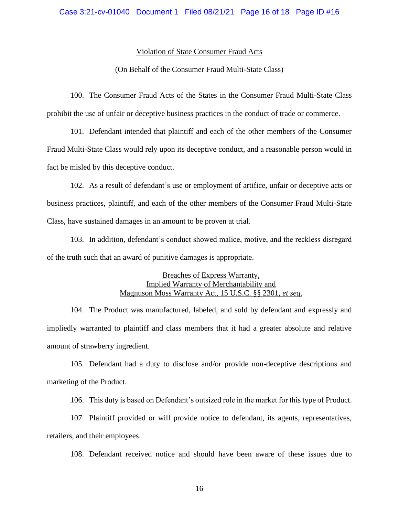#### Violation of State Consumer Fraud Acts

## (On Behalf of the Consumer Fraud Multi-State Class)

100. The Consumer Fraud Acts of the States in the Consumer Fraud Multi-State Class prohibit the use of unfair or deceptive business practices in the conduct of trade or commerce.

101. Defendant intended that plaintiff and each of the other members of the Consumer Fraud Multi-State Class would rely upon its deceptive conduct, and a reasonable person would in fact be misled by this deceptive conduct.

102. As a result of defendant's use or employment of artifice, unfair or deceptive acts or business practices, plaintiff, and each of the other members of the Consumer Fraud Multi-State Class, have sustained damages in an amount to be proven at trial.

103. In addition, defendant's conduct showed malice, motive, and the reckless disregard of the truth such that an award of punitive damages is appropriate.

## Breaches of Express Warranty, Implied Warranty of Merchantability and Magnuson Moss Warranty Act, 15 U.S.C. §§ 2301, *et seq*.

104. The Product was manufactured, labeled, and sold by defendant and expressly and impliedly warranted to plaintiff and class members that it had a greater absolute and relative amount of strawberry ingredient.

105. Defendant had a duty to disclose and/or provide non-deceptive descriptions and marketing of the Product.

106. This duty is based on Defendant's outsized role in the market for this type of Product.

107. Plaintiff provided or will provide notice to defendant, its agents, representatives, retailers, and their employees.

108. Defendant received notice and should have been aware of these issues due to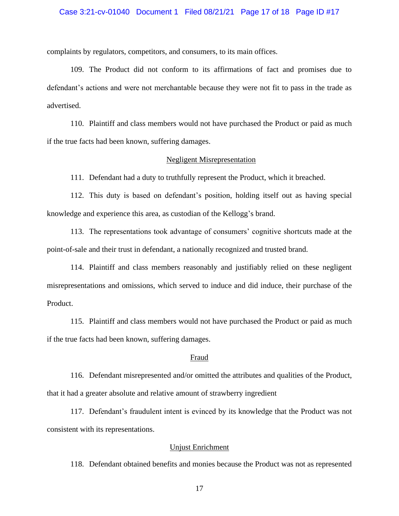#### Case 3:21-cv-01040 Document 1 Filed 08/21/21 Page 17 of 18 Page ID #17

complaints by regulators, competitors, and consumers, to its main offices.

109. The Product did not conform to its affirmations of fact and promises due to defendant's actions and were not merchantable because they were not fit to pass in the trade as advertised.

110. Plaintiff and class members would not have purchased the Product or paid as much if the true facts had been known, suffering damages.

#### Negligent Misrepresentation

111. Defendant had a duty to truthfully represent the Product, which it breached.

112. This duty is based on defendant's position, holding itself out as having special knowledge and experience this area, as custodian of the Kellogg's brand.

113. The representations took advantage of consumers' cognitive shortcuts made at the point-of-sale and their trust in defendant, a nationally recognized and trusted brand.

114. Plaintiff and class members reasonably and justifiably relied on these negligent misrepresentations and omissions, which served to induce and did induce, their purchase of the Product.

115. Plaintiff and class members would not have purchased the Product or paid as much if the true facts had been known, suffering damages.

#### Fraud

116. Defendant misrepresented and/or omitted the attributes and qualities of the Product, that it had a greater absolute and relative amount of strawberry ingredient

117. Defendant's fraudulent intent is evinced by its knowledge that the Product was not consistent with its representations.

## Unjust Enrichment

118. Defendant obtained benefits and monies because the Product was not as represented